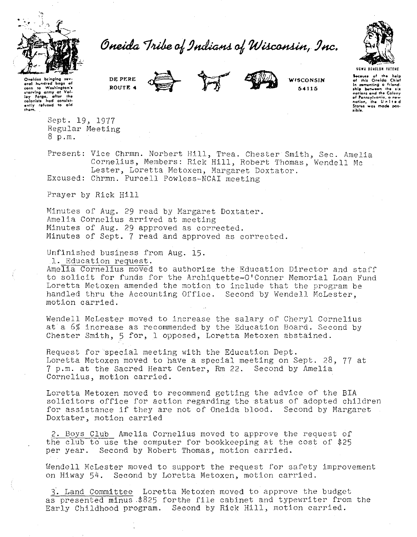

## Oneida Tribe of Indians of Wisconsin, Inc.



Qneldas bringing ac eral hundred bags of **corn to Wa1hlngton'1**  ~tarvl"g **army at Vol**lay Forge, after the<br>colanists had consist-<br>ently refused to aid **thgm,** 

**DE PERE ROUTE 4** 





**WISCONSIN 54115** 

UBWI DENOLUM TATEN! **Because** of the help **of t+ol1 On•lda Chiof <sup>11</sup>'1** wmet~ling **a fri•nd.**  In comenting a triend-<br> **ship between** the six<br>
nation, and the Colony<br>
nation, the United<br>
Status was made pos**lib!•.** 

Sept. 19, 1977 Regular Meeting 8 p.m.

Present: Vice Chrmn. Norbert Hill, Trea. Chester Smith, *Sec.* Amelia Cornelius, Members: Rick Hill, Robert Thomas, Wendell Me Lester, Loretta Metoxen, Margaret Doxtator. Excused: Chrmn. Purcell Powless-NCAI meeting

Prayer by Rick Hill

Minutes of Aug. 29 read by Margaret Doxtater. Amelia Cornelius arrived at meeting Minutes of Aug. 29 approved as corrected. Minutes of Sept. 7 read and approved as corrected.

Unfinished business from Aug. 15.

l. Education request.

Amelia Cornelius moved to authorize the Education Director and staff to solicit for funds for the Archiquette-O'Conner Memorial Loan Fund Loretta Metoxen amended the motion to include that the program be handled thru the Accounting Office. Second by Wendell McLester, motion carried.

Wendell McLester moved to increase the salary of Cheryl Cornelius at a 6% increase as recommended by the Education Board. Second by Chester Smith, 5 for, l opposed, Loretta Metoxen abstained.

Request for special meeting with the Education Dept. Loretta Metoxen moved to have a special meeting on Sept. 28, 77 at 7 p.m. at the Sacred Heart Center, Rm 22. Second by Amelia Cornelius, motion carried.

Loretta Metoxen moved to recommend getting the advice of the BIA solicitors office for action regarding the status of adopted children for assistance if they are not of Oneida blood. Second by Margaret Doxtater, motion carried

2. Boys Club Amelia Cornelius moved to approve the request of the club to use the computer for bookkeeping at the cost of \$25 per year. Second by Robert Thomas, motion carried.

Wendell McLester moved to support the request for safety improvement on Hiway 54. Second by Loretta Metoxen, motion carried.

3. Land Committee Loretta Metoxen moved to approve the budget as presented minus \$825 forthe file cabinet and typewriter from the Early Childhood program. Second by Rick Hill, motion carried.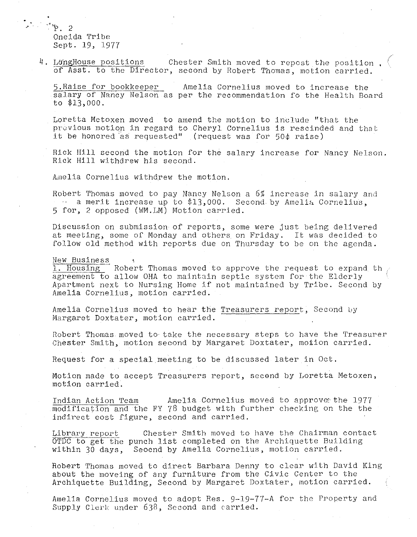$\cdot$   $\cdot$   $\cdot$  2 Oneida Tribe Sept. 19, 1977

4. LongHouse positions chester Smith moved to repost the position . *or* Asst. to the Director, second by Robert Thomas, motion carried.

5. Raise for bookkeeper Amelia Cornelius moved to increase the salary of Nancy Nelson as per the recommendation fo the Health Board to \$13,000.

Loretta Metoxen moved to amend the motion to include ''that the previous motion in regard to Cheryl Cornelius is rescinded and that it be honored as requested" (request was for 50 $\phi$  raise)

Rick Hill second the motion for the salary increase for Nancy Nelson. Rick Hill withdrew his second.

Amelia Cornelius withdrew the motion.

Robert Thomas moved to pay Nancy Nelson a 6% increase in salary and a merit increase up to  $13,000$ . Second by Amelia Cornelius, 5 for, 2 opposed (WM.LM) Motion carried.

Discussion on submission *or* reports, some were just being delivered at meeting, some of Monday and others on Friday. It was decided to follow old method with reports due on Thursday to be on the agenda.

## New Business

l. Housing Robert Thomas moved to approve the request to expand th agreement to allow OHA to maintain septic system for the Elderly Apartment next to Nursing Home if not maintained by Tribe. Second by Amelia Cornelius, motion carried.

Amelia Cornelius moved to hear the Treasurers report, Second by Margaret Doxtater, motion carried.

nobert Thomas moved to take the necessary steps to have the Treasurer Chester Smith, motion second by Margaret Doxtater, motion carried.

Request for a special meeting to be discussed later in Oct.

Motion made to accept Treasurers report, secend by Loretta Metoxen, motion carried.

Indian Action Team Amelia Cornelius moved to approve the 1977 modification and the FY 78 budget with further checking on the the indirect cost figure, second and carried.

Library report Either Teport Chester Smith moved to have the Chairman Contract Chester Smith moved to have the Chairman Contra within 30 days, Seocnd by Amelia Cornelius, motion carried. Chester Smith moved to have the Chairman contact

Robert Thomas moved to direct Barbara Denny to clear with David King about the moveing *or* any rurniture rrom the Civic Center to the Archiquette Building, Second by Margaret Doxtater, motion carried.

Amelia Cornelius moved to adopt Res. 9-19-77-A for *the* Property and Supply Clerk under 638, Second and carried.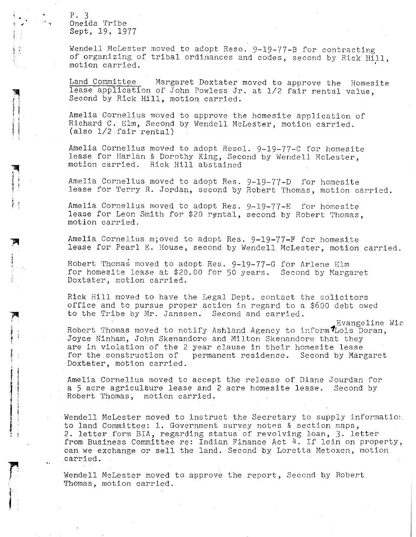p. 3 Oneida Tribe Sept, 19, 1977

'

 $\frac{1}{3}$ 

I

*r* 

î<br>.

Wendell McLester moved to adopt Reso. 9-19-77-B for contracting of organizing of tribal ordinances and codes, second by Rick Hill, motion carried.

Land Committee Margaret Doxtater moved to approve the Homesite lease application of John Powless Jr. at 1/2 fair rental value, Second by Rick Hill, motion carried.

Amelia Cornelius moved to approve the homesite application of Richard C. Elm, Second by Wendell McLester, motion carried. (also l/2.fair rental)

Amelia Cornelius moved to adopt Resol. 9-19-77-C for homesite lease for Harlan & Dorothy King, Second by Wendell McLester, motion carried. Rick Hill abstained

Amelia Cornelius moved to adopt Res. 9-19-77-D for homesite lease for Terry R. Jordan, second by Robert Thomas, motion carried.

Amelia Cornelius moved to adopt Res. 9-19-77-E for homesite lease for Leon Smith for \$20 rental, second by Robert Thomas, motion carried.

Amelia Cornelius m;oved to adopt Res. 9-19-77-F for homesite lease for Pearl E. House, second by Wendell McLester, motion carried.

Robert Thomas moved to adopt Res. 9-19-77-G for Arlene Elm for homesite lease at \$20.00 for 50 years. Second by Margaret Doxtater, motion carried.

Rick Hill moved to have the Legal Dept. contact the solicitors office and to pursue proper action in regard to a \$600 debt owed to the Tribe by Mr. Janssen. Second and carried.

· Evangeline Wis

Robert Thomas moved to notify Ashland Agency to inform  $\tau_{\text{Lois}}$  Doran, Joyce Ninham, John Skenandore and Milton Skenandore that they are in violation of the 2 year clause in their homesite lease<br>for the construction of permanent residence. Second by Margaret for the construction of Doxtater, motion carried.

Amelia Cornelius moved to accept the release of Diane Jourdan for a 5 acre agriculbure lease and 2 acre homesite lease. Second by Robert Thomas, motion carried.

Wendell McLester moved to instruct the Secretary to supply information. to land Committee: 1. Government survey notes & section maps, 2. letter form BIA, regarding status of revolving loan, 3. letter from Business Committee re: Indian Finance Act 4. If lein on property, can we exchange or sell the land. Second by Loretta Metoxen, motion carried.

Wendell McLester moved to approve the report, Second by Robert Thomas, motion carried.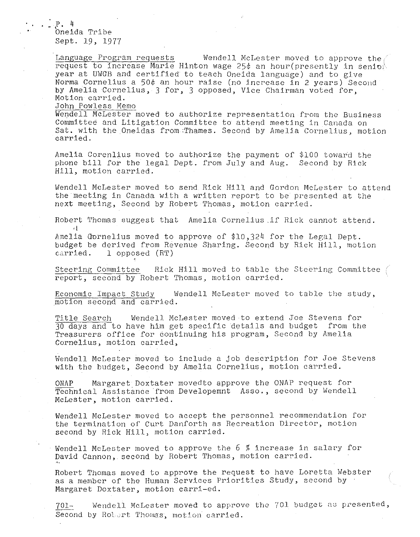.P. 4 Oneida Tribe Sept. 19, 1977

Language Program requests Wendell McLester moved to approve the  $\ell$ request to increase Marie Hinton wage 25 $\phi$  an hour(presently in senior year at UWGB and certified to teach Oneida language) and to give Norma Cornelius a 50 $\phi$  an hour raise (no increase in 2 years) Second bY Amelia Cornelius, 3 for, 3 opposed, Vice Chairman voted for, Motion carried.

John Powless Memo

Wendell McLester moved to authorize representation from the Business Committee and Litigation Committee to attend meeting in Canada on Sat. with the Oneidas from Thames. Second by Amelia Cornelius, motion carried.

Amelia Corenlius moved to authorize the payment of \$100 toward the phone bill for the legal Dept. from July and Aug. Second by Rick Hill, motion carried.

Wendell McLester moved to send Rick Hill and Gordon McLester to attend the meeting in Canada with a written report to be presented at the next meeting, Second by Robert Thomas, motion carried.

Robert Thomas suggest that Amelia Cornelius .if Rick cannot attend. d

Amelia Gornelius moved to approve of \$10,324 for the Legal Dept. budget be derived from Revenue Sharing. Second by Rick Hill, motion carried. l opposed (RT)

Steering Committee Rick Hill moved to table the Steering Committee report, second by Robert Thomas, motion carried.

Economic Impact Study Wendell McLester moved to table the study, motion second and carried.

Title Search Wendell McLester moved to extend Joe Stevens for 30 days and to have him get specific details and budget from the Treasurers office for 6ontinuing his program, Second by Amelia Cornelius, motion carried,

Wendell McLester moved to include a job description for Joe Stevens with the budget, Second by Amelia Cornelius, motion carried.

ONAP Margaret Doxtater movedto approve the ONAP request for Technical Assistance from Developemnt Asso., second by Wendell McLester, motion carried.

Wendell McLester moved to accept the personnel recommendation for the termination of Curt Danforth as Recreation Director, motion second by Rick Hill, motion carried.

Wendell McLester moved to approve the 6 % increase in salary for David Cannon, second by Robert Thomas, motion carried.

Robert Thomas moved to approve the request to have Loretta Webster as a member of the Human Services Priorities Study, second by Margaret Doxtater, motion carri-ed.

701- Wendell McLester moved to approve the 701 budget as presented, Second by Rolert Thomas, motion carried.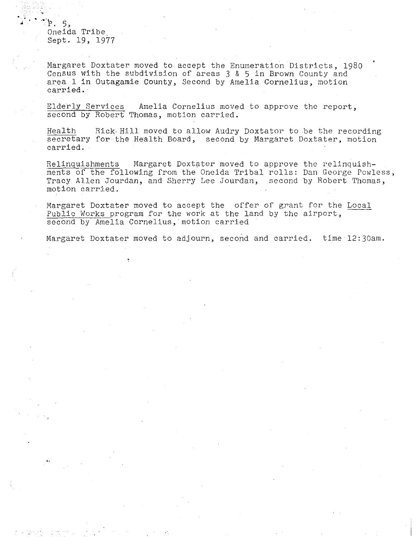~ -~·r. 5, Oneida Tribe\_ Sept. 19, 1977

Margaret Doxtater moved to accept the Enumeration Districts, 1980 Census with the subdivision of areas 3 & 5 in Brown County and area 1 in Outagamie County, Second by Amelia Cornelius, motion carried.

Elderly Services Amelia Cornelius moved to approve the report, second by Robert Thomas, motion carried.

Health Rick-Hill moved to allow Audry Doxtator to be the recording secretary for the Health Board, second by Margaret Doxtater, motion carried.

Relinquishments Margaret Doxtater moved to approve the relinquishments of the following from the Oneida Tribal rolls: Dan George Powless, Tracy Allen Jourdan, and Sherry Lee Jourdan, second by Robert Thomas, motion carried.

Margaret Doxtater moved to accept the offer of grant for the Local Public Works program for the work at the land by the airport, second by Amelia Cornelius, motion carried

Margaret Doxtater moved to adjourn, second and carried. time 12:30am.